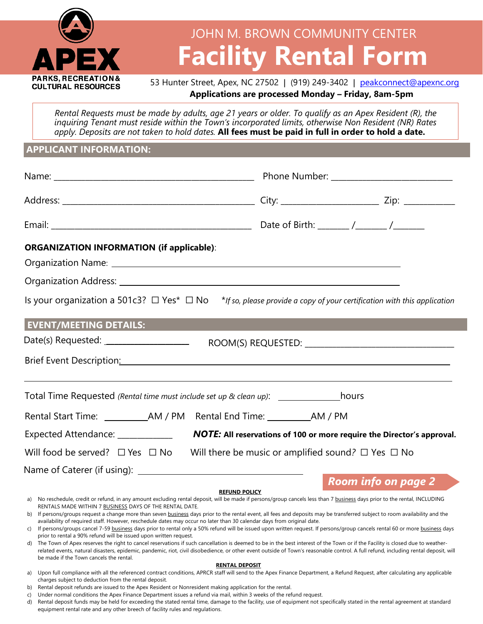

# **Facility Rental Form** JOHN M. BROWN COMMUNITY CENTER

## 53 Hunter Street, Apex, NC 27502 | (919) 249-3402 | [peakconnect@apexnc.org](mailto:peakconnect@apexnc.org) **Applications are processed Monday – Friday, 8am-5pm**

*Rental Requests must be made by adults, age 21 years or older. To qualify as an Apex Resident (R), the inquiring Tenant must reside within the Town's incorporated limits, otherwise Non Resident (NR) Rates* apply. Deposits are not taken to hold dates. All fees must be paid in full in order to hold a date.

## **APPLICANT INFORMATION:**

| <b>ORGANIZATION INFORMATION (if applicable):</b><br>Organization Address: National Address: National Address: National Address: National Address: National Address<br>Is your organization a 501c3? $\Box$ Yes <sup>*</sup> $\Box$ No *If so, please provide a copy of your certification with this application<br><b>EVENT/MEETING DETAILS:</b>                                                                                                                                                                                                                                                                                                                                                                                                                                                                                                                                                                                                                                                                                                                                                                                                                                                                                                        |                                                              |                            |  |
|---------------------------------------------------------------------------------------------------------------------------------------------------------------------------------------------------------------------------------------------------------------------------------------------------------------------------------------------------------------------------------------------------------------------------------------------------------------------------------------------------------------------------------------------------------------------------------------------------------------------------------------------------------------------------------------------------------------------------------------------------------------------------------------------------------------------------------------------------------------------------------------------------------------------------------------------------------------------------------------------------------------------------------------------------------------------------------------------------------------------------------------------------------------------------------------------------------------------------------------------------------|--------------------------------------------------------------|----------------------------|--|
| Date(s) Requested: _____________________________<br>Brief Event Description: National According to the Contract of the Contract of the Contract of the Contract of                                                                                                                                                                                                                                                                                                                                                                                                                                                                                                                                                                                                                                                                                                                                                                                                                                                                                                                                                                                                                                                                                      |                                                              |                            |  |
| Total Time Requested (Rental time must include set up & clean up): _____________________hours                                                                                                                                                                                                                                                                                                                                                                                                                                                                                                                                                                                                                                                                                                                                                                                                                                                                                                                                                                                                                                                                                                                                                           |                                                              |                            |  |
|                                                                                                                                                                                                                                                                                                                                                                                                                                                                                                                                                                                                                                                                                                                                                                                                                                                                                                                                                                                                                                                                                                                                                                                                                                                         |                                                              |                            |  |
| Expected Attendance: ____________<br>NOTE: All reservations of 100 or more require the Director's approval.                                                                                                                                                                                                                                                                                                                                                                                                                                                                                                                                                                                                                                                                                                                                                                                                                                                                                                                                                                                                                                                                                                                                             |                                                              |                            |  |
| Will food be served? $\Box$ Yes $\Box$ No                                                                                                                                                                                                                                                                                                                                                                                                                                                                                                                                                                                                                                                                                                                                                                                                                                                                                                                                                                                                                                                                                                                                                                                                               | Will there be music or amplified sound? $\Box$ Yes $\Box$ No |                            |  |
|                                                                                                                                                                                                                                                                                                                                                                                                                                                                                                                                                                                                                                                                                                                                                                                                                                                                                                                                                                                                                                                                                                                                                                                                                                                         |                                                              | <b>Room info on page 2</b> |  |
| <b>REFUND POLICY</b><br>a) No reschedule, credit or refund, in any amount excluding rental deposit, will be made if persons/group cancels less than 7 business days prior to the rental, INCLUDING<br>RENTALS MADE WITHIN 7 BUSINESS DAYS OF THE RENTAL DATE.<br>b) If persons/groups request a change more than seven business days prior to the rental event, all fees and deposits may be transferred subject to room availability and the<br>availability of required staff. However, reschedule dates may occur no later than 30 calendar days from original date.<br>c) If persons/groups cancel 7-59 business days prior to rental only a 50% refund will be issued upon written request. If persons/group cancels rental 60 or more business days<br>prior to rental a 90% refund will be issued upon written request.<br>The Town of Apex reserves the right to cancel reservations if such cancellation is deemed to be in the best interest of the Town or if the Facility is closed due to weather-<br>d)<br>related events, natural disasters, epidemic, pandemic, riot, civil disobedience, or other event outside of Town's reasonable control. A full refund, including rental deposit, will<br>be made if the Town cancels the rental. |                                                              |                            |  |

### **RENTAL DEPOSIT**

a) Upon full compliance with all the referenced contract conditions, APRCR staff will send to the Apex Finance Department, a Refund Request, after calculating any applicable charges subject to deduction from the rental deposit.

b) Rental deposit refunds are issued to the Apex Resident or Nonresident making application for the rental.

c) Under normal conditions the Apex Finance Department issues a refund via mail, within 3 weeks of the refund request.

d) Rental deposit funds may be held for exceeding the stated rental time, damage to the facility, use of equipment not specifically stated in the rental agreement at standard equipment rental rate and any other breech of facility rules and regulations.